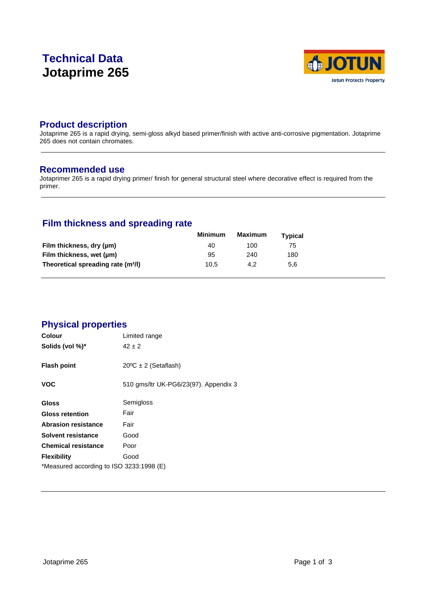# **Technical Data Jotaprime 265**



# **Product description**

Jotaprime 265 is a rapid drying, semi-gloss alkyd based primer/finish with active anti-corrosive pigmentation. Jotaprime 265 does not contain chromates.

### **Recommended use**

Jotaprimer 265 is a rapid drying primer/ finish for general structural steel where decorative effect is required from the primer.

# **Film thickness and spreading rate**

|                                                | <b>Minimum</b> | <b>Maximum</b> | Typical |  |
|------------------------------------------------|----------------|----------------|---------|--|
| Film thickness, dry (µm)                       | 40             | 100            | 75      |  |
| Film thickness, wet (µm)                       | 95             | 240            | 180     |  |
| Theoretical spreading rate (m <sup>2</sup> /l) | 10.5           | 4.2            | 5.6     |  |

# **Physical properties**

| <b>Colour</b>                            | Limited range                         |
|------------------------------------------|---------------------------------------|
| Solids (vol %)*                          | $42 \pm 2$                            |
| <b>Flash point</b>                       | $20^{\circ}C \pm 2$ (Setaflash)       |
| <b>VOC</b>                               | 510 gms/ltr UK-PG6/23(97). Appendix 3 |
| <b>Gloss</b>                             | Semigloss                             |
| <b>Gloss retention</b>                   | Fair                                  |
| <b>Abrasion resistance</b>               | Fair                                  |
| Solvent resistance                       | Good                                  |
| <b>Chemical resistance</b>               | Poor                                  |
| <b>Flexibility</b>                       | Good                                  |
| *Measured according to ISO 3233:1998 (E) |                                       |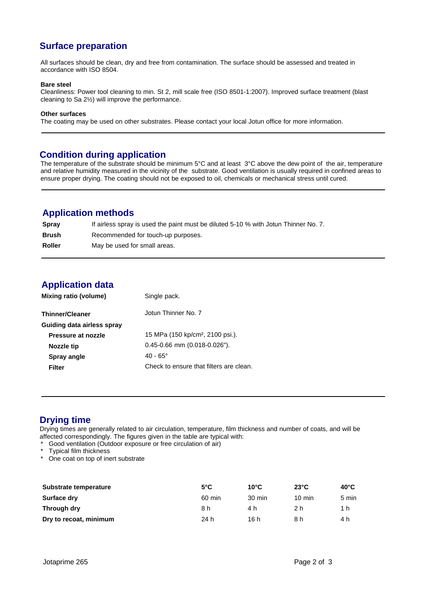# **Surface preparation**

All surfaces should be clean, dry and free from contamination. The surface should be assessed and treated in accordance with ISO 8504.

#### **Bare steel**

Cleanliness: Power tool cleaning to min. St 2, mill scale free (ISO 8501-1:2007). Improved surface treatment (blast cleaning to Sa 2½) will improve the performance.

#### **Other surfaces**

The coating may be used on other substrates. Please contact your local Jotun office for more information.

#### **Condition during application**

The temperature of the substrate should be minimum 5°C and at least 3°C above the dew point of the air, temperature and relative humidity measured in the vicinity of the substrate. Good ventilation is usually required in confined areas to ensure proper drying. The coating should not be exposed to oil, chemicals or mechanical stress until cured.

## **Application methods**

| Spray        | If airless spray is used the paint must be diluted 5-10 % with Jotun Thinner No. 7. |
|--------------|-------------------------------------------------------------------------------------|
| <b>Brush</b> | Recommended for touch-up purposes.                                                  |
| Roller       | May be used for small areas.                                                        |

# **Application data**

| Jotun Thinner No. 7<br><b>Thinner/Cleaner</b>                      |
|--------------------------------------------------------------------|
| Guiding data airless spray                                         |
| 15 MPa (150 kp/cm <sup>2</sup> , 2100 psi.).<br>Pressure at nozzle |
| $0.45 - 0.66$ mm $(0.018 - 0.026)$ .<br>Nozzle tip                 |
| $40 - 65^{\circ}$<br>Spray angle                                   |
| Check to ensure that filters are clean.<br>Filter                  |

# **Drying time**

Drying times are generally related to air circulation, temperature, film thickness and number of coats, and will be affected correspondingly. The figures given in the table are typical with:

- Good ventilation (Outdoor exposure or free circulation of air)
- \* Typical film thickness
- \* One coat on top of inert substrate

| Substrate temperature  | $5^{\circ}$ C | $10^{\circ}$ C   | $23^{\circ}$ C   | $40^{\circ}$ C |
|------------------------|---------------|------------------|------------------|----------------|
| Surface dry            | 60 min        | $30 \text{ min}$ | $10 \text{ min}$ | 5 min          |
| Through dry            | 8 h           | 4 h              | 2 h              | 1 h            |
| Dry to recoat, minimum | 24 h          | 16 h             | 8 h              | 4 h            |